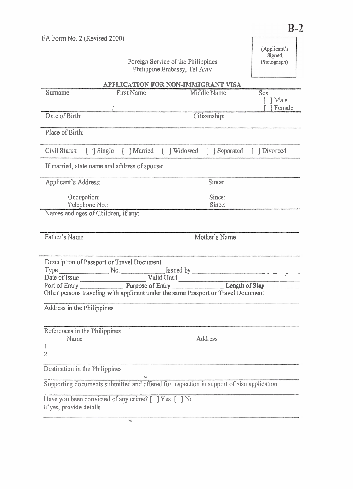| FA Form No. 2 (Revised 2000)                          |                                                         |                                                                                                                                                                                                 | (Applicant's<br>Signed  |
|-------------------------------------------------------|---------------------------------------------------------|-------------------------------------------------------------------------------------------------------------------------------------------------------------------------------------------------|-------------------------|
|                                                       |                                                         | Foreign Service of the Philippines<br>Philippine Embassy, Tel Aviv                                                                                                                              | Photograph)             |
|                                                       |                                                         | APPLICATION FOR NON-IMMIGRANT VISA                                                                                                                                                              |                         |
| Surname                                               | <b>First Name</b>                                       | <b>Middle Name</b>                                                                                                                                                                              | Sex<br>  Male<br>Female |
| Date of Birth:                                        |                                                         | Citizenship:                                                                                                                                                                                    |                         |
| Place of Birth:                                       |                                                         |                                                                                                                                                                                                 |                         |
| Civil Status:<br>$\lceil \cdot \rceil$ Single         | [ ] Married                                             | [ ] Widowed<br>[ ] Separated                                                                                                                                                                    | [ ] Divorced            |
|                                                       | If married, state name and address of spouse:           |                                                                                                                                                                                                 |                         |
| Applicant's Address:                                  |                                                         | Since:                                                                                                                                                                                          |                         |
| Occupation:<br>Telephone No.:                         |                                                         | Since:<br>Since:                                                                                                                                                                                |                         |
| Names and ages of Children, if any:<br>Father's Name: |                                                         | Mother's Name                                                                                                                                                                                   |                         |
|                                                       |                                                         |                                                                                                                                                                                                 |                         |
| $Type \_$                                             | Description of Passport or Travel Document:<br>No. $\_$ | Issued by                                                                                                                                                                                       |                         |
|                                                       |                                                         | Valid Until                                                                                                                                                                                     |                         |
|                                                       |                                                         | Date of Issue<br>Port of Entry<br>Purpose of Entry<br>Purpose of Entry<br>Length of Stay<br>Length of Stay<br>Other persons traveling with applicant under the same Passport or Travel Document |                         |
| Address in the Philippines                            |                                                         |                                                                                                                                                                                                 |                         |
| References in the Philippines<br>Name                 | $\ddot{\nu}$                                            | Address                                                                                                                                                                                         |                         |
| 1.<br>2.                                              |                                                         |                                                                                                                                                                                                 |                         |
| Destination in the Philippines                        |                                                         |                                                                                                                                                                                                 |                         |
|                                                       |                                                         | Supporting documents submitted and offered for inspection in support of visa application                                                                                                        |                         |